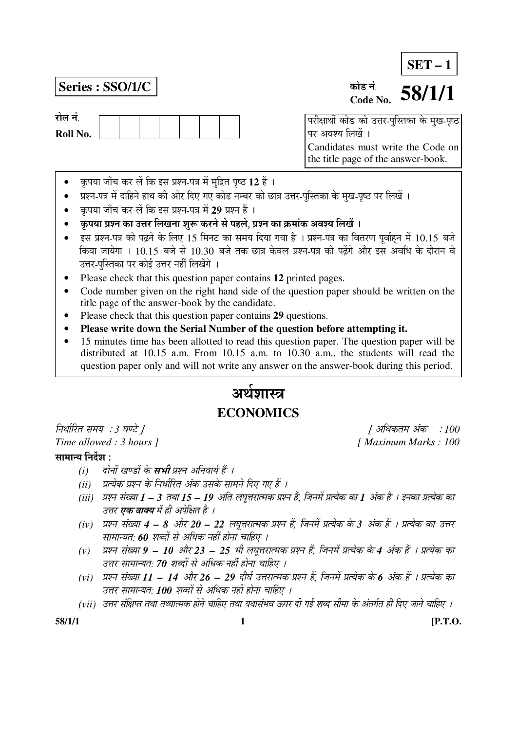# **SET – 1**

# **Series : SSO/1/C │** कोड नं.

रोल नं

**Roll No.** 



 $\overline{a}$ परीक्षार्थी कोड को उत्तर-पुस्तिका के मुख-पृष्ठ पर अवश्य लिखें । Candidates must write the Code on the title page of the answer-book.

- कृपया जाँच कर लें कि इस प्रश्न-पत्र में मुद्रित पृष्ठ 12 हैं ।
- प्रश्न-पत्र में दाहिने हाथ की ओर दिए गए कोड नम्बर को छात्र उत्तर-पुस्तिका के मुख-पृष्ठ पर लिखें ।
- कृपया जाँच कर लें कि इस प्रश्न-पत्र में 29 प्रश्न हैं ।
- ँ कृपया प्रश्न का उत्तर लिखना शुरू करने से पहले. प्रश्न का क्रमांक अवश्य लिखें ।
- इस प्रश्न-पत्र को पढ़ने के लिए 15 मिनट का समय दिया गया है । प्रश्न-पत्र का वितरण पूर्वाहन में 10.15 बजे किया जायेगा । 10.15 बजे से 10.30 बजे तक छात्र केवल प्रश्न-पत्र को पढेंगे और इस अवधि के दौरान वे उत्तर-पस्तिका पर कोई उत्तर नहीं लिखेंगे ।
- Please check that this question paper contains **12** printed pages.
- Code number given on the right hand side of the question paper should be written on the title page of the answer-book by the candidate.
- Please check that this question paper contains **29** questions.
- **Please write down the Serial Number of the question before attempting it.**
- 15 minutes time has been allotted to read this question paper. The question paper will be distributed at 10.15 a.m. From 10.15 a.m. to 10.30 a.m., the students will read the question paper only and will not write any answer on the answer-book during this period.

# अर्थशास्त्र **ECONOMICS**

×®Ö¬ÖÖÔ׸üŸÖ ÃÖ´ÖµÖ : *3* 'ÖÞ™êü ] [ †×¬ÖÛúŸÖ´Ö †ÓÛú : *100 Time allowed : 3 hours ]* [ *Maximum Marks : 100* 

# सामान्य निर्देश $\,$ :

- *(i) दोनों खण्डों के सभी प्रश्न अनिवार्य हैं ।*
- *(ii) प्रत्येक प्रश्न के निर्धारित अंक उसके सामने दिए गए हैं ।*
- *(iii) प्रश्न संख्या 1 3 तथा 15 19 अति लघुत्तरात्मक प्रश्न हैं, जिनमें प्रत्येक का 1 अंक है । इनका प्रत्येक का* उत्तर **एक वाक्य** में ही अपेक्षित है ।
- *(iv) प्रश्न संख्या 4 8 और 20 22 लघुत्तरात्मक प्रश्न हैं, जिनमें प्रत्येक के 3 अंक हैं । प्रत्येक का उत्तर* <u>सामान्यतः 60 शब्दों से अधिक नहीं होना चाहिए ।</u>
- (v) प्रश्न संख्या **9 10** और 23 25 भी लघूत्तरात्मक प्रश्न हैं, जिनमें प्रत्येक के 4 अंक हैं । प्रत्येक का उत्तर सामान्यत: 70 शब्दों से अधिक नहीं होना चाहिए ।
- (vi) प्रश्न संख्या 11 14 और 26 29 दीर्घ उत्तरात्मक प्रश्न हैं, जिनमें प्रत्येक के 6 अंक हैं । प्रत्येक का उत्तर सामान्यत: **100** शब्दों से अधिक नहीं होना चाहिए ।
- (vii) उत्तर संक्षिप्त तथा तथ्यात्मक होने चाहिए तथा यथासंभव ऊपर दी गई शब्द सीमा के अंतर्गत ही दिए जाने चाहिए ।

**58/1/1 1 [P.T.O.**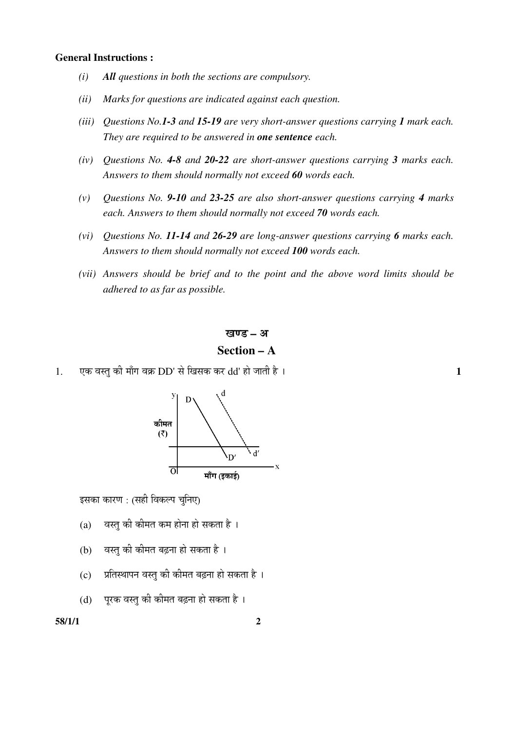## **General Instructions :**

- *(i) All questions in both the sections are compulsory.*
- *(ii) Marks for questions are indicated against each question.*
- *(iii) Questions No.1-3 and 15-19 are very short-answer questions carrying 1 mark each. They are required to be answered in one sentence each.*
- *(iv) Questions No. 4-8 and 20-22 are short-answer questions carrying 3 marks each. Answers to them should normally not exceed 60 words each.*
- *(v) Questions No. 9-10 and 23-25 are also short-answer questions carrying 4 marks each. Answers to them should normally not exceed 70 words each.*
- *(vi) Questions No. 11-14 and 26-29 are long-answer questions carrying 6 marks each. Answers to them should normally not exceed 100 words each.*
- *(vii) Answers should be brief and to the point and the above word limits should be adhered to as far as possible.*

### खण्ड – अ

# **Section – A**

1. ‹Ûú ¾ÖßÖã Ûúß ´ÖÖÑÝÖ ¾ÖÛÎú DD' ÃÖê ×ÜÖÃÖÛú Ûú¸ü dd' ÆüÖê •ÖÖŸÖß Æîü … **1** 



इसका कारण : (सही विकल्प चुनिए)

- $(a)$  वस्तु की कीमत कम होना हो सकता है ।
- $(b)$  वस्त की कीमत बढना हो सकता है।
- (c) जितिस्थापन वस्तु की कीमत बढ़ना हो सकता है ।
- $(d)$  प्रिक वस्तु की कीमत बढ़ना हो सकता है ।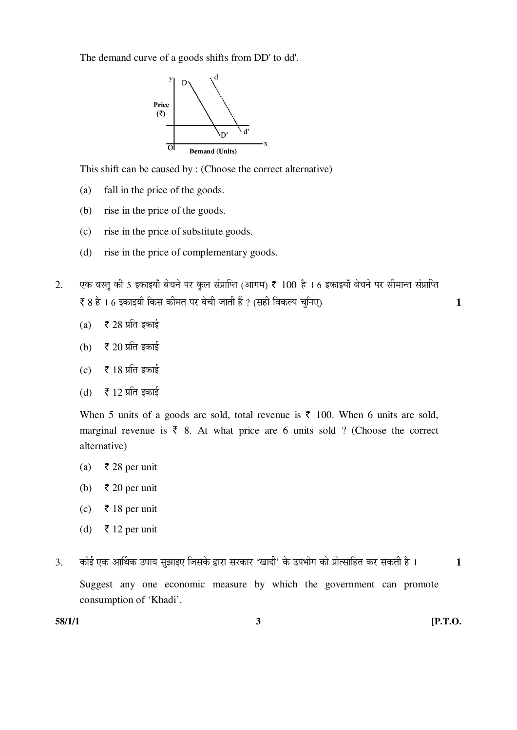The demand curve of a goods shifts from DD' to dd'.



This shift can be caused by : (Choose the correct alternative)

- (a) fall in the price of the goods.
- (b) rise in the price of the goods.
- (c) rise in the price of substitute goods.
- (d) rise in the price of complementary goods.
- 2. पक वस्तु की 5 इकाइयाँ बेचने पर कुल संप्राप्ति (आगम) ₹ 100 है । 6 इकाइयाँ बेचने पर सीमान्त संप्राप्ति ` 8 Æîü … 6 ‡ÛúÖ‡µÖÖÑ ×ÛúÃÖ Ûúß´ÖŸÖ ¯Ö¸ü ²Öê"Öß •ÖÖŸÖß Æïü ? (ÃÖÆüß ×¾ÖÛú»¯Ö "Öã×®Ö‹) **1** 
	- (a)  $\bar{\bar{\xi}}$  28 प्रति इकाई
	- (b)  $\bar{\bar{\xi}}$  20 प्रति इकाई
	- (c)  $\bar{\bar{\xi}}$  18 प्रति इकाई
	- (d)  $\bar{\bar{\xi}}$  12 प्रति इकाई

When 5 units of a goods are sold, total revenue is  $\bar{\tau}$  100. When 6 units are sold, marginal revenue is  $\bar{\tau}$  8. At what price are 6 units sold ? (Choose the correct alternative)

- (a) ₹ 28 per unit
- (b)  $\bar{\tau}$  20 per unit
- (c) ₹ 18 per unit
- (d)  $\bar{\tau}$  12 per unit
- 3. कोई एक आर्थिक उपाय सुझाइए जिसके द्वारा सरकार 'खादी' के उपभोग को प्रोत्साहित कर सकती है । 1

 Suggest any one economic measure by which the government can promote consumption of 'Khadi'.

**58/1/1 3 [P.T.O.**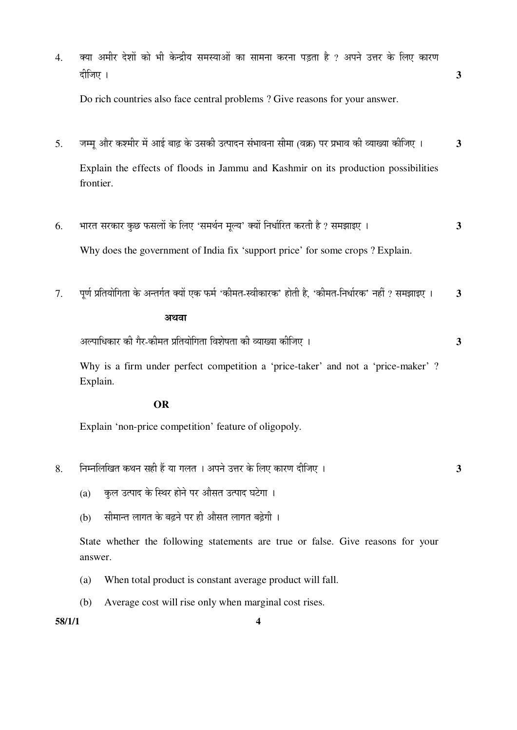4. व्या अमीर देशों को भी केन्द्रीय समस्याओं का सामना करना पड़ता है ? अपने उत्तर के लिए कारण ¤üßו֋ … **3**  Do rich countries also face central problems ? Give reasons for your answer. 5. जम्मु और कश्मीर में आई बाढ़ के उसकी उत्पादन संभावना सीमा (वक्र) पर प्रभाव की व्याख्या कीजिए । 3 Explain the effects of floods in Jammu and Kashmir on its production possibilities frontier. 6. ³ÖÖ¸üŸÖ ÃÖ¸üÛúÖ¸ü Ûãú"û ±úÃÖ»ÖÖë Ûêú ×»Ö‹ 'ÃÖ´Ö£ÖÔ®Ö ´Ö滵Ö' ŒµÖÖë ×®Ö¬ÖÖÔ׸üŸÖ Ûú¸üŸÖß Æîü ? ÃÖ´Ö—ÖÖ‡‹ … **3**  Why does the government of India fix 'support price' for some crops ? Explain. 7. पर्ण प्रतियोगिता के अन्तर्गत क्यों एक फर्म 'कीमत-स्वीकारक' होती है. 'कीमत-निर्धारक' नहीं ? समझाइए । 3 अथवा †»¯ÖÖ׬ÖÛúÖ¸ü Ûúß ÝÖî¸ü-Ûúß´ÖŸÖ ¯ÖÏןֵÖÖê×ÝÖŸÖÖ ×¾Ö¿ÖêÂÖŸÖÖ Ûúß ¾µÖÖܵÖÖ Ûúßו֋ … **3**  Why is a firm under perfect competition a 'price-taker' and not a 'price-maker' ? Explain.

# **OR**

Explain 'non-price competition' feature of oligopoly.

- 8. ×®Ö´®Ö×»Ö×ÜÖŸÖ Ûú£Ö®Ö ÃÖÆüß Æïü µÖÖ ÝÖ»ÖŸÖ … †¯Ö®Öê ˆ¢Ö¸ü Ûêú ×»Ö‹ ÛúÖ¸üÞÖ ¤üßו֋ … **3** 
	- (a) कल उत्पाद के स्थिर होने पर औसत उत्पाद घटेगा ।
	- (b) सीमान्त लागत के बढ़ने पर ही औसत लागत बढ़ेगी ।

 State whether the following statements are true or false. Give reasons for your answer.

- (a) When total product is constant average product will fall.
- (b) Average cost will rise only when marginal cost rises.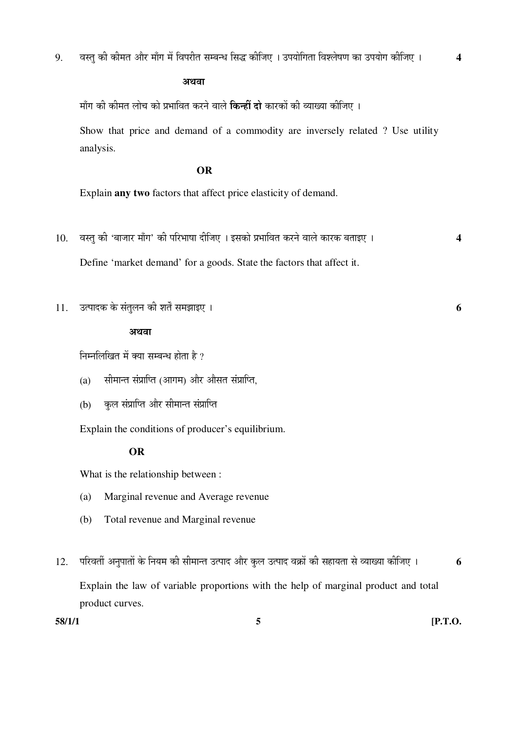अथवा

माँग की कीमत लोच को प्रभावित करने वाले **किन्हीं दो** कारकों की व्याख्या कीजिए ।

 Show that price and demand of a commodity are inversely related ? Use utility analysis.

## **OR**

Explain **any two** factors that affect price elasticity of demand.

- 10. वस्त् की 'बाजार माँग' की परिभाषा दीजिए । इसको प्रभावित करने वाले कारक बताइए । 4 Define 'market demand' for a goods. State the factors that affect it.
- $11.$   $\frac{1}{3}$ त्पादक के संतुलन की शर्तें समझाइए ।

## अथवा

निम्नलिखित में क्या सम्बन्ध होता है ?

- (a) सीमान्त संप्राप्ति (आगम) और औसत संप्राप्ति,
- (b) कुल संप्राप्ति और सीमान्त संप्राप्ति

Explain the conditions of producer's equilibrium.

# **OR**

What is the relationship between :

- (a) Marginal revenue and Average revenue
- (b) Total revenue and Marginal revenue
- 12. परिवर्ती अनुपातों के नियम की सीमान्त उत्पाद और कुल उत्पाद वक्रों की सहायता से व्याख्या कीजिए । **6**  Explain the law of variable proportions with the help of marginal product and total product curves.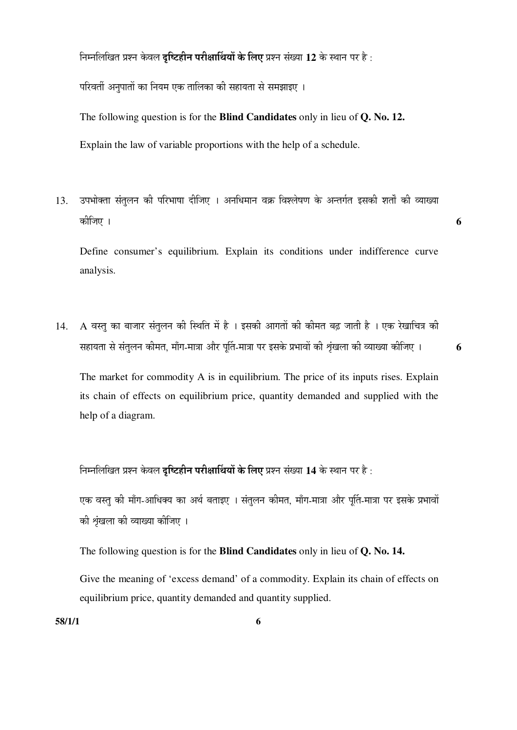$\hat{p}$ नमलिखित प्रश्न केवल **दृष्टिहीन परीक्षार्थियों के लिए** प्रश्न संख्या 12 के स्थान पर है:

परिवर्ती अनुपातों का नियम एक तालिका की सहायता से समझाइए ।

The following question is for the **Blind Candidates** only in lieu of **Q. No. 12.** Explain the law of variable proportions with the help of a schedule.

13. उपभोक्ता संतुलन की परिभाषा दीजिए । अनधिमान वक्र विश्लेषण के अन्तर्गत इसकी शर्तों की व्याख्या Ûúßו֋ … **6** 

 Define consumer's equilibrium. Explain its conditions under indifference curve analysis.

14. A वस्त का बाजार संतलन की स्थिति में है । इसकी आगतों की कीमत बढ़ जाती है । एक रेखाचित्र की सहायता से संतुलन कीमत, माँग-मात्रा और पुर्ति-मात्रा पर इसके प्रभावों की श्रृंखला की व्याख्या कीजिए । 6

 The market for commodity A is in equilibrium. The price of its inputs rises. Explain its chain of effects on equilibrium price, quantity demanded and supplied with the help of a diagram.

 $\hat{p}$ नमलिखित प्रश्न केवल **दृष्टिहीन परीक्षार्थियों के लिए** प्रश्न संख्या 14 के स्थान पर है:

एक वस्तु की माँग-आधिक्य का अर्थ बताइए । संतुलन कीमत, माँग-मात्रा और पुर्ति-मात्रा पर इसके प्रभावों की शृंखला की व्याख्या कीजिए ।

The following question is for the **Blind Candidates** only in lieu of **Q. No. 14.** 

Give the meaning of 'excess demand' of a commodity. Explain its chain of effects on equilibrium price, quantity demanded and quantity supplied.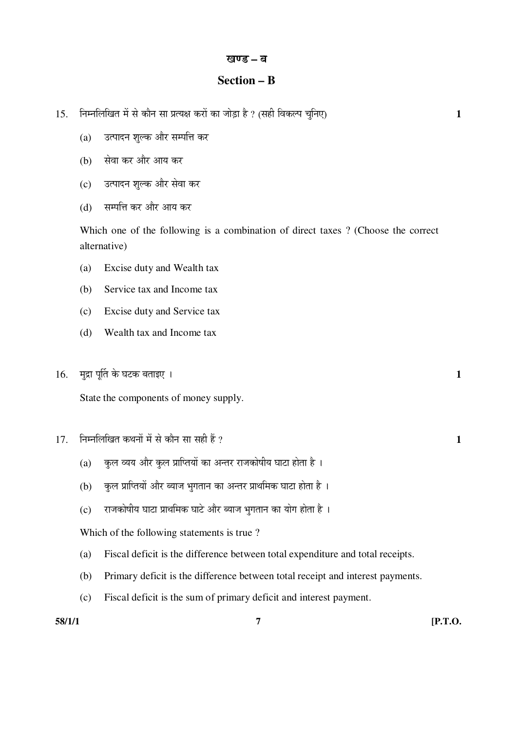### खण्ड – ब

# **Section – B**

- 15. निम्नलिखित में से कौन सा प्रत्यक्ष करों का जोड़ा है ? (सही विकल्प चुनिए) 1
	- (a) उत्पादन शुल्क और सम्पत्ति कर
	- (b) सेवा कर और आय कर
	- (c) उत्पादन शुल्क और सेवा कर
	- (d) सम्पत्ति कर और आय कर

 Which one of the following is a combination of direct taxes ? (Choose the correct alternative)

- (a) Excise duty and Wealth tax
- (b) Service tax and Income tax
- (c) Excise duty and Service tax
- (d) Wealth tax and Income tax
- $16.$  मुद्रा पूर्ति के घटक बताइए ।  $\qquad \qquad$

State the components of money supply.

- $17.$  निम्नलिखित कथनों में से कौन सा सही हैं ?  $\overline{1}$ 
	- (a) कुल व्यय और कुल प्राप्तियों का अन्तर राजकोषीय घाटा होता है ।
	- (b) कुल प्राप्तियों और ब्याज भुगतान का अन्तर प्राथमिक घाटा होता है ।
	- $\overline{c}$ ) हाजकोषीय घाटा प्राथमिक घाटे और ब्याज भगतान का योग होता है)।

Which of the following statements is true ?

- (a) Fiscal deficit is the difference between total expenditure and total receipts.
- (b) Primary deficit is the difference between total receipt and interest payments.
- (c) Fiscal deficit is the sum of primary deficit and interest payment.

**58/1/1 7 [P.T.O.**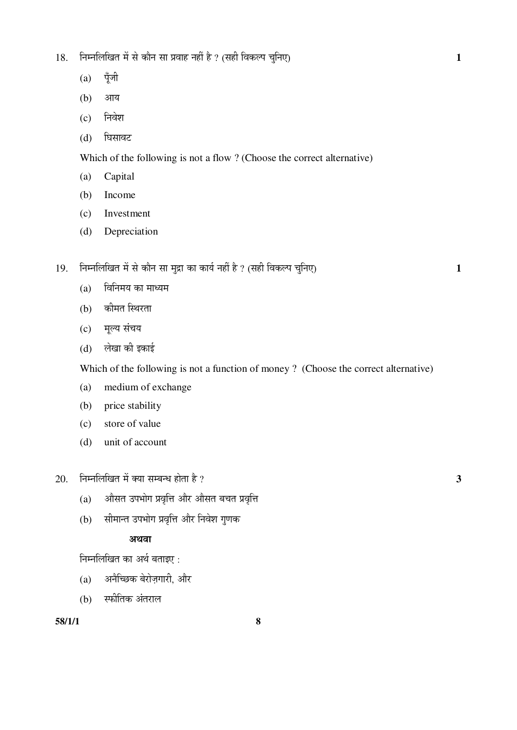- 18. ×®Ö´®Ö×»Ö×ÜÖŸÖ ´Öë ÃÖê ÛúÖî®Ö ÃÖÖ ¯ÖϾÖÖÆü ®ÖÆüà Æîü ? (ÃÖÆüß ×¾ÖÛú»¯Ö "Öã×®Ö‹) **1** 
	- $(a)$  पूँजी
	- (b) आय
	- (c) निवेश
	- (d) घिसावट

Which of the following is not a flow ? (Choose the correct alternative)

- (a) Capital
- (b) Income
- (c) Investment
- (d) Depreciation
- 19. निम्नलिखित में से कौन सा मुद्रा का कार्य नहीं है ? (सही विकल्प चुनिए) 1
	- $(a)$  विनिमय का माध्यम
	- (b) कीमत स्थिरता
	- (c) मूल्य संचय
	- (d) लेखा की इकाई

Which of the following is not a function of money ? (Choose the correct alternative)

- (a) medium of exchange
- (b) price stability
- (c) store of value
- (d) unit of account
- $20.$  निम्नलिखित में क्या सम्बन्ध होता है ?  $3$ 
	- $(a)$  औसत उपभोग प्रवृत्ति और औसत बचत प्रवृत्ति
	- (b) सीमान्त उपभोग प्रवृत्ति और निवेश गुणक

# अथवा

निम्नलिखित का अर्थ बताइए:

- $(a)$  अनैच्छिक बेरोज़गारी, और
- $(b)$  स्फीतिक अंतराल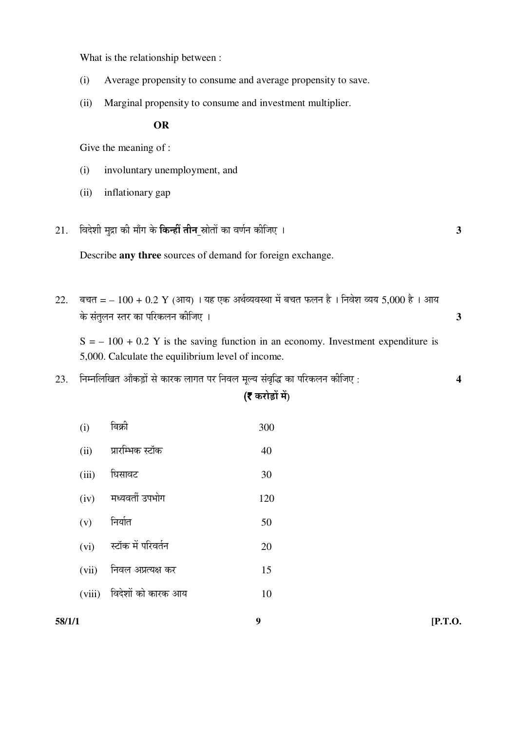What is the relationship between :

- (i) Average propensity to consume and average propensity to save.
- (ii) Marginal propensity to consume and investment multiplier.

**OR**

Give the meaning of :

- (i) involuntary unemployment, and
- (ii) inflationary gap
- 21. ×¾Ö¤êü¿Öß ´Öã¦üÖ Ûúß ´ÖÖÑÝÖ Ûêú ×Ûú®Æüà ŸÖß®Ö ÄÖÖêŸÖÖë ÛúÖ ¾ÖÞÖÔ®Ö Ûúßו֋ … **3**

Describe **any three** sources of demand for foreign exchange.

 $22.$  बचत = –  $100 + 0.2$  Y (आय) । यह एक अर्थव्यवस्था में बचत फलन है । निवेश व्यय 5,000 है । आय ो के संतुलन स्तर का परिकलन कीजिए । संस्था के अन्य अधिक के संस्था के अन्य अधिक के अन्य अधिक के अन्य अधिक के अन्

 $S = -100 + 0.2$  Y is the saving function in an economy. Investment expenditure is 5,000. Calculate the equilibrium level of income.

 $23.$  निम्नलिखित आँकड़ों से कारक लागत पर निवल मूल्य संवृद्धि का परिकलन कीजिए :  $\,$ 

# ( $\bar{\tau}$  करोड़ों में)

**58/1/1 9 [P.T.O.**   $(i)$  बिक्री 300  $(ii)$  प्रारम्भिक स्टॉक  $40$ (iii) घिसावट 30  $(iv)$  मध्यवर्ती उपभोग  $120$  $(v)$  निर्यात 50  $(vi)$  स्टॉक में परिवर्तन  $(20)$  $(vii)$  निवल अप्रत्यक्ष कर  $(15)$ (viii) विदेशों को कारक आय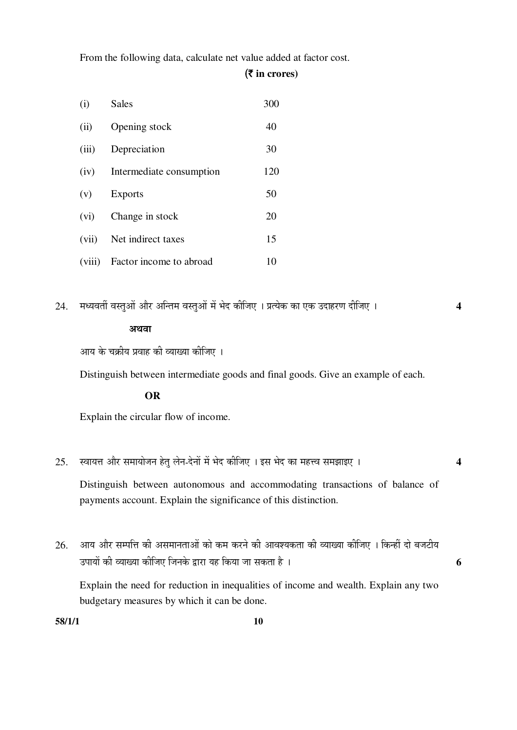From the following data, calculate net value added at factor cost.

# (` **in crores)**

| (i)   | Sales                          | 300 |
|-------|--------------------------------|-----|
| (ii)  | Opening stock                  | 40  |
| (iii) | Depreciation                   | 30  |
| (iv)  | Intermediate consumption       | 120 |
| (v)   | <b>Exports</b>                 | 50  |
| (vi)  | Change in stock                | 20  |
| (vii) | Net indirect taxes             | 15  |
|       | (viii) Factor income to abroad | 10  |

24. ´Ö¬µÖ¾ÖŸÖá ¾ÖßÖã†Öë †Öî¸ü †×®ŸÖ´Ö ¾ÖßÖã†Öë ´Öë ³Öê¤ü Ûúßו֋ … ¯ÖÏŸµÖêÛú ÛúÖ ‹Ûú ˆ¤üÖÆü¸üÞÖ ¤üßו֋ … **4** 

# अथवा

आय के चक्रीय प्रवाह की व्याख्या कीजिए ।

Distinguish between intermediate goods and final goods. Give an example of each.

# **OR**

Explain the circular flow of income.

25. þÖÖµÖ¢Ö †Öî¸ü ÃÖ´ÖÖµÖÖê•Ö®Ö ÆêüŸÖã »Öê®Ö-¤êü®ÖÖë ´Öë ³Öê¤ü Ûúßו֋ … ‡ÃÖ ³Öê¤ü ÛúÖ ´ÖÆü¢¾Ö ÃÖ´Ö—ÖÖ‡‹ … **4** 

Distinguish between autonomous and accommodating transactions of balance of payments account. Explain the significance of this distinction.

 $26.$  ) आय और सम्पत्ति की असमानताओं को कम करने की आवश्यकता की व्याख्या कीजिए । किन्हीं दो बजटीय ˆ¯ÖÖµÖÖë Ûúß ¾µÖÖܵÖÖ Ûúßו֋ ו֮ÖÛêú «üÖ¸üÖ µÖÆü ×ÛúµÖÖ •ÖÖ ÃÖÛúŸÖÖ Æîü … **6** 

 Explain the need for reduction in inequalities of income and wealth. Explain any two budgetary measures by which it can be done.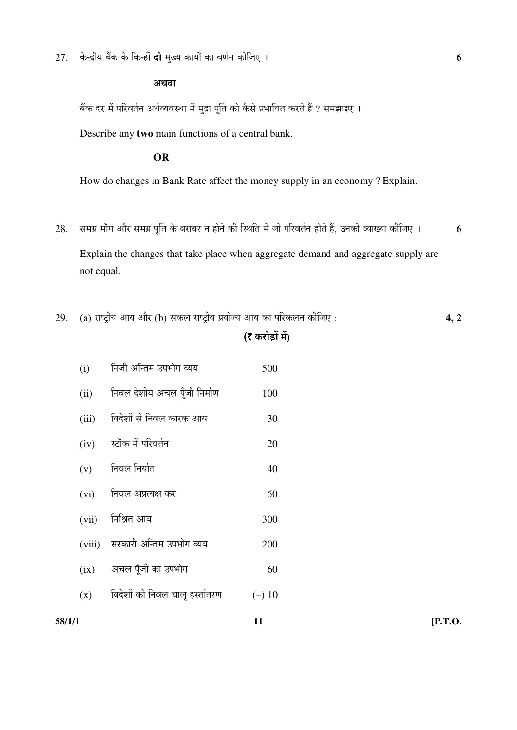$27.$  केन्द्रीय बैंक के किन्हीं **दो** मुख्य कार्यों का वर्णन कीजिए ।

### अथवा

बेंक दर में परिवर्तन अर्थव्यवस्था में मुद्रा पूर्ति को कैसे प्रभावित करते हैं ? समझाइए ।

Describe any **two** main functions of a central bank.

# **OR**

How do changes in Bank Rate affect the money supply in an economy ? Explain.

- $28.$  समग्र माँग और समग्र पूर्ति के बराबर न होने की स्थिति में जो परिवर्तन होते हैं, उनकी व्याख्या कीजिए । **6**  Explain the changes that take place when aggregate demand and aggregate supply are not equal.
- $29.$  (a) राष्ट्रीय आय और (b) सकल राष्ट्रीय प्रयोज्य आय का परिकलन कीजिए :  $\overline{4,2}$

# ( $\bar{\mathbf{z}}$  करोड़ों में)

 $(i)$  निजी अन्तिम उपभोग व्यय $(iii)$  निवल देशीय अचल पँजी निर्माण  $(iii)$  विदेशों से निवल कारक आय $(iv)$  स्टॉक में परिवर्तन  $(v)$  निवल निर्यात  $(vi)$  निवल अप्रत्यक्ष कर  $(vii)$  मिश्रित आय $(300)$  $(viii)$  सरकारी अन्तिम उपभोग व्यय $(ix)$  अचल पूँजी का उपभोग  $(x)$  विदेशों को निवल चालू हस्तांतरण  $(-)$ 

**58/1/1** [P.T.O.